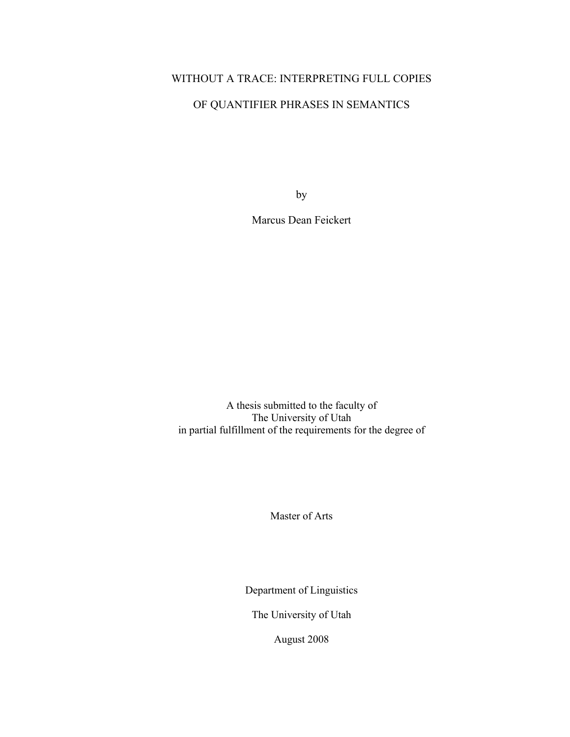# WITHOUT A TRACE: INTERPRETING FULL COPIES

# OF QUANTIFIER PHRASES IN SEMANTICS

by

Marcus Dean Feickert

A thesis submitted to the faculty of The University of Utah in partial fulfillment of the requirements for the degree of

Master of Arts

Department of Linguistics

The University of Utah

August 2008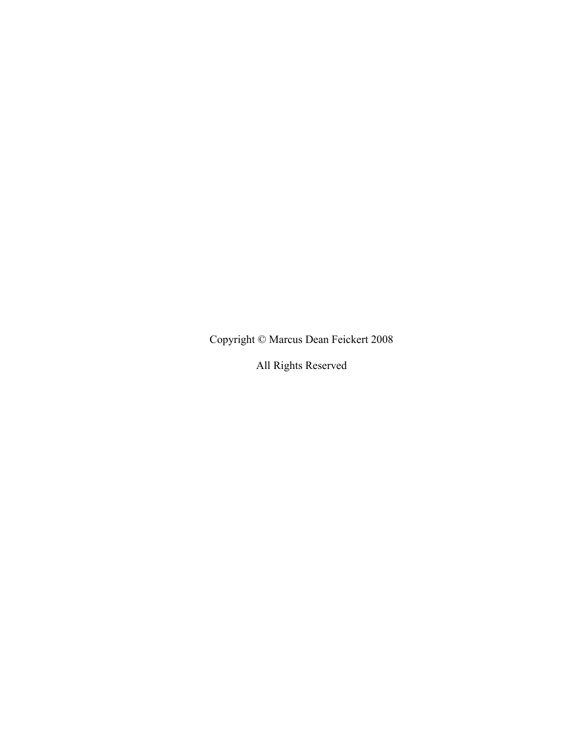Copyright © Marcus Dean Feickert 2008

All Rights Reserved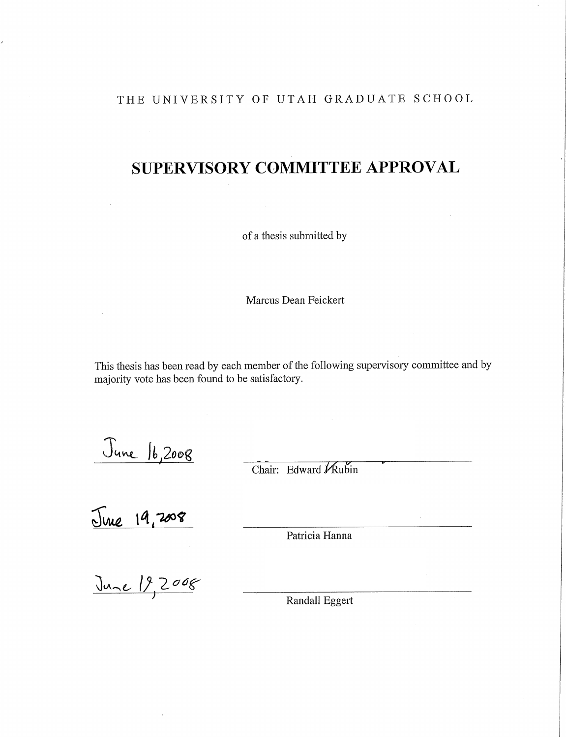# THE UNIVERSITY OF UTAH GRADUATE SCHOOL

# **SUPERVISORY COMMITTEE APPROVAL**

of a thesis submitted by

Marcus Dean Feickert

This thesis has been read by each member of the following supervisory committee and by majority vote has been found to be satisfactory.

<u>June 16,2008</u>

Chair: Edward Kubin

June 19, 2008  $\frac{1}{2}$ 

Patricia Hanna

 $\alpha$ 

June 19,2008

Randall Eggert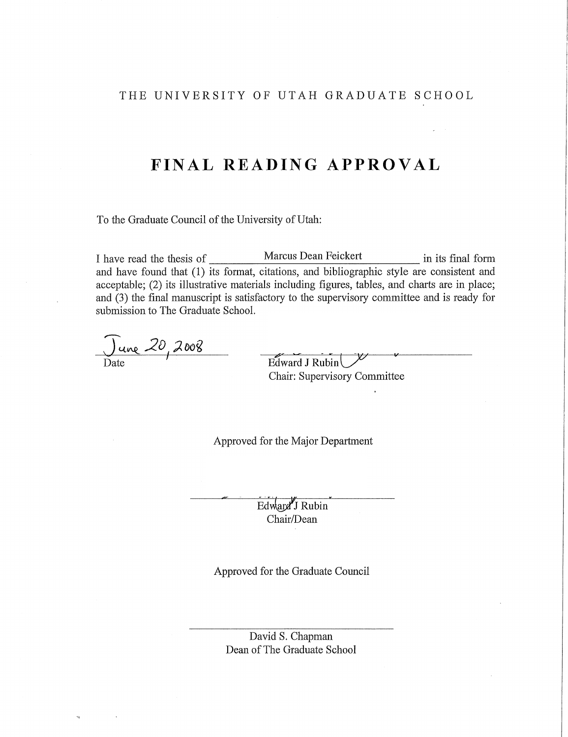# THE UNIVERSITY OF UTAH GRADUATE SCHOOL

# FINAL READING APPROVAL

To the Graduate Council of the University of Utah:

Marcus Dean Feickert I have read the thesis of in its final form and have found that (1) its format, citations, and bibliographic style are consistent and acceptable; (2) its illustrative materials including figures, tables, and charts are in place; and (3) the final manuscript is satisfactory to the supervisory committee and is ready for submission to The Graduate School.

<u>) une</u> 20, 2008

Edward J Rubin Chair: Supervisory Committee

Approved for the Major Department

Edward J Rubin Chair/Dean

Approved for the Graduate Council

David S. Chapman Dean of The Graduate School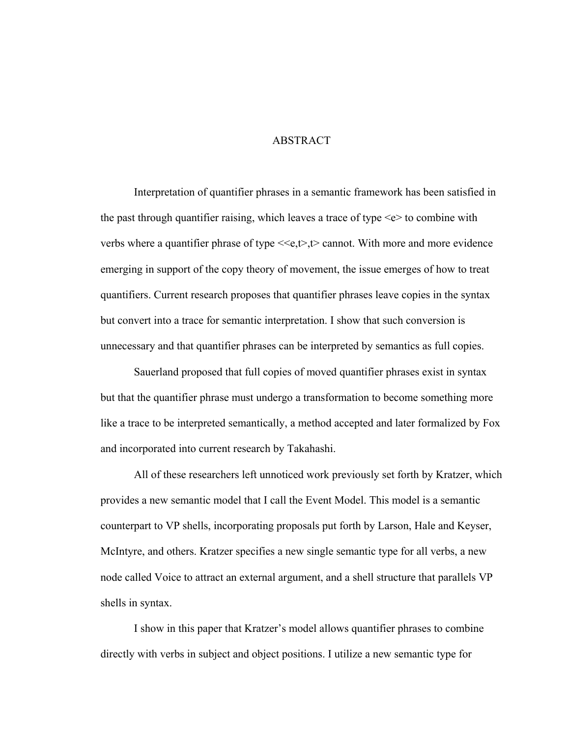# ABSTRACT

<span id="page-4-0"></span>Interpretation of quantifier phrases in a semantic framework has been satisfied in the past through quantifier raising, which leaves a trace of type  $\leq e$  to combine with verbs where a quantifier phrase of type  $\leq \epsilon, t$ ,  $\geq$  cannot. With more and more evidence emerging in support of the copy theory of movement, the issue emerges of how to treat quantifiers. Current research proposes that quantifier phrases leave copies in the syntax but convert into a trace for semantic interpretation. I show that such conversion is unnecessary and that quantifier phrases can be interpreted by semantics as full copies.

Sauerland proposed that full copies of moved quantifier phrases exist in syntax but that the quantifier phrase must undergo a transformation to become something more like a trace to be interpreted semantically, a method accepted and later formalized by Fox and incorporated into current research by Takahashi.

All of these researchers left unnoticed work previously set forth by Kratzer, which provides a new semantic model that I call the Event Model. This model is a semantic counterpart to VP shells, incorporating proposals put forth by Larson, Hale and Keyser, McIntyre, and others. Kratzer specifies a new single semantic type for all verbs, a new node called Voice to attract an external argument, and a shell structure that parallels VP shells in syntax.

I show in this paper that Kratzer's model allows quantifier phrases to combine directly with verbs in subject and object positions. I utilize a new semantic type for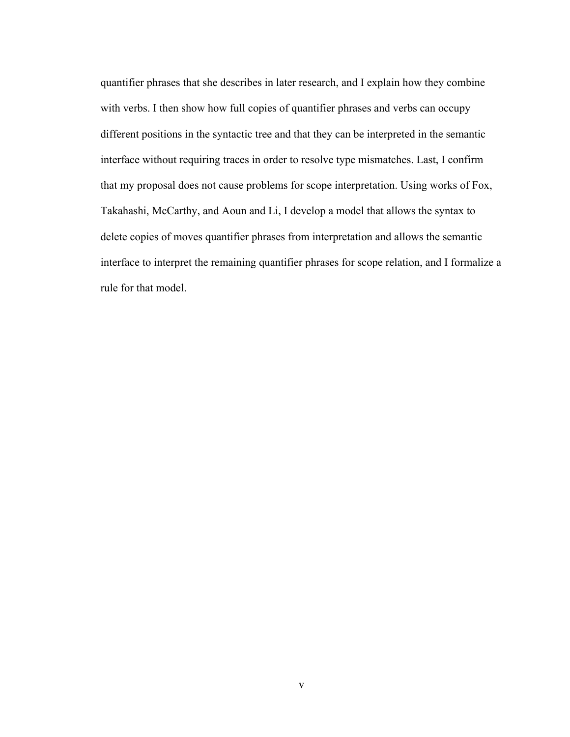quantifier phrases that she describes in later research, and I explain how they combine with verbs. I then show how full copies of quantifier phrases and verbs can occupy different positions in the syntactic tree and that they can be interpreted in the semantic interface without requiring traces in order to resolve type mismatches. Last, I confirm that my proposal does not cause problems for scope interpretation. Using works of Fox, Takahashi, McCarthy, and Aoun and Li, I develop a model that allows the syntax to delete copies of moves quantifier phrases from interpretation and allows the semantic interface to interpret the remaining quantifier phrases for scope relation, and I formalize a rule for that model.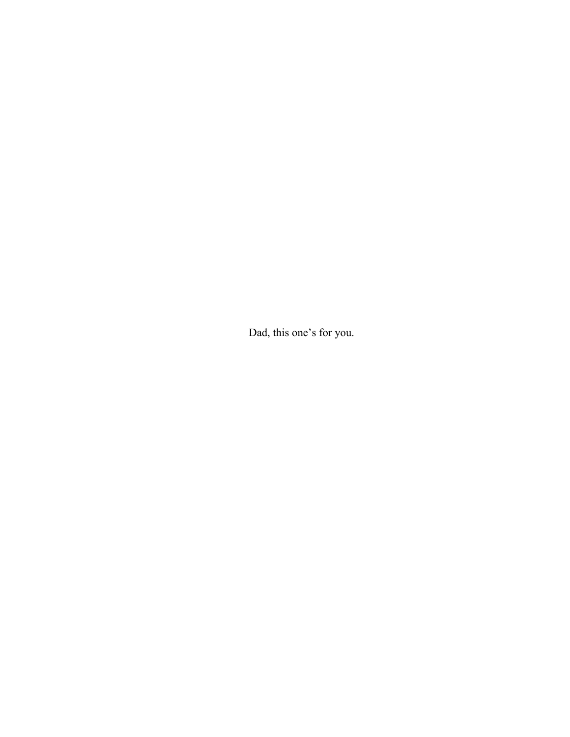Dad, this one's for you.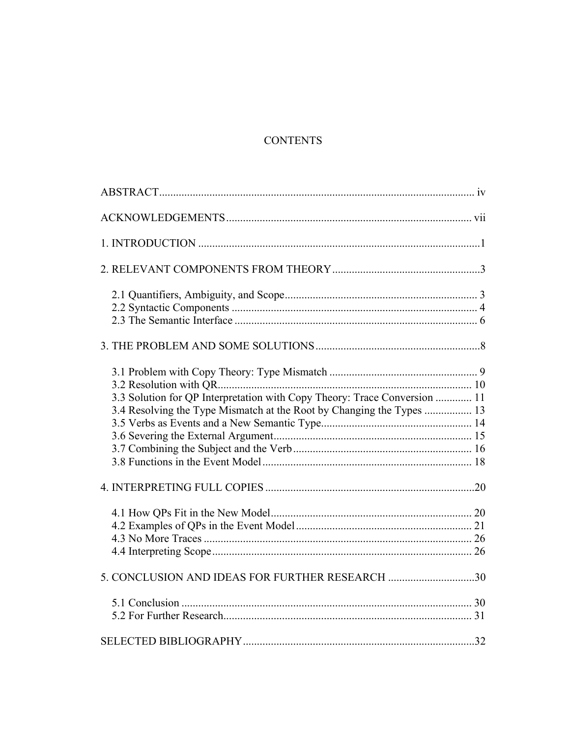# **CONTENTS**

| 3.3 Solution for QP Interpretation with Copy Theory: Trace Conversion  11 |  |
|---------------------------------------------------------------------------|--|
|                                                                           |  |
|                                                                           |  |
| 5. CONCLUSION AND IDEAS FOR FURTHER RESEARCH 30                           |  |
|                                                                           |  |
|                                                                           |  |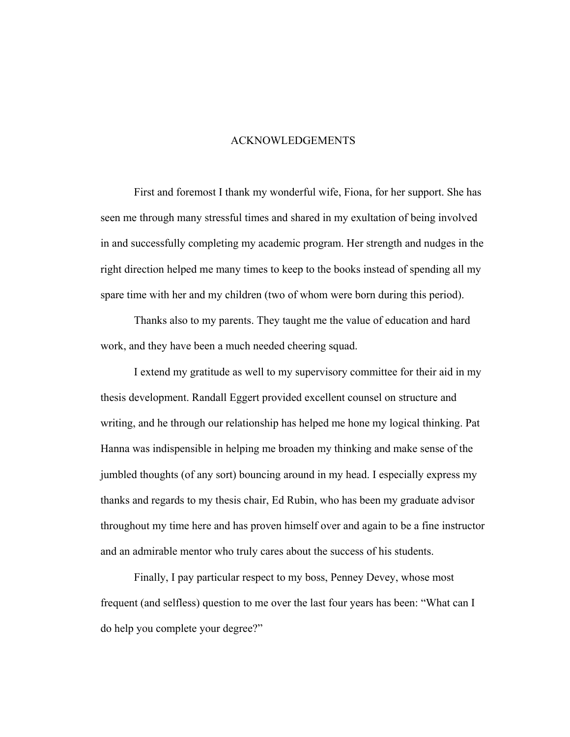## ACKNOWLEDGEMENTS

<span id="page-8-0"></span>First and foremost I thank my wonderful wife, Fiona, for her support. She has seen me through many stressful times and shared in my exultation of being involved in and successfully completing my academic program. Her strength and nudges in the right direction helped me many times to keep to the books instead of spending all my spare time with her and my children (two of whom were born during this period).

Thanks also to my parents. They taught me the value of education and hard work, and they have been a much needed cheering squad.

I extend my gratitude as well to my supervisory committee for their aid in my thesis development. Randall Eggert provided excellent counsel on structure and writing, and he through our relationship has helped me hone my logical thinking. Pat Hanna was indispensible in helping me broaden my thinking and make sense of the jumbled thoughts (of any sort) bouncing around in my head. I especially express my thanks and regards to my thesis chair, Ed Rubin, who has been my graduate advisor throughout my time here and has proven himself over and again to be a fine instructor and an admirable mentor who truly cares about the success of his students.

Finally, I pay particular respect to my boss, Penney Devey, whose most frequent (and selfless) question to me over the last four years has been: "What can I do help you complete your degree?"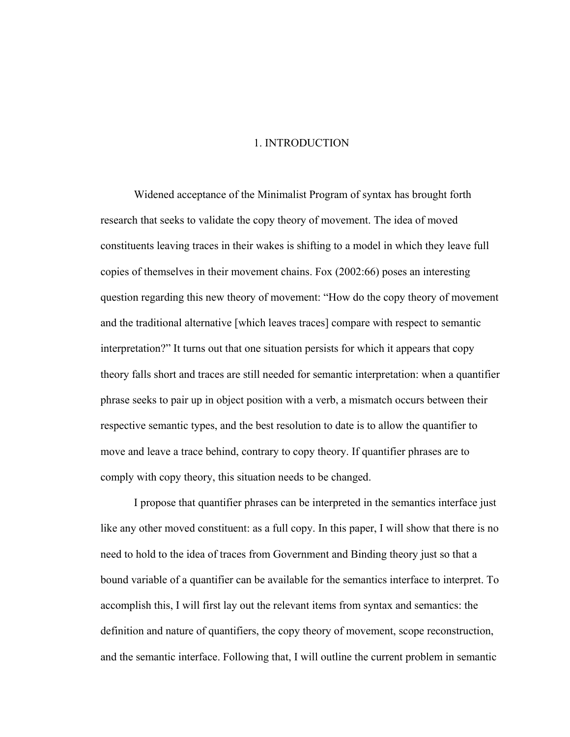# 1. INTRODUCTION

<span id="page-9-0"></span>Widened acceptance of the Minimalist Program of syntax has brought forth research that seeks to validate the copy theory of movement. The idea of moved constituents leaving traces in their wakes is shifting to a model in which they leave full copies of themselves in their movement chains. Fox (2002:66) poses an interesting question regarding this new theory of movement: "How do the copy theory of movement and the traditional alternative [which leaves traces] compare with respect to semantic interpretation?" It turns out that one situation persists for which it appears that copy theory falls short and traces are still needed for semantic interpretation: when a quantifier phrase seeks to pair up in object position with a verb, a mismatch occurs between their respective semantic types, and the best resolution to date is to allow the quantifier to move and leave a trace behind, contrary to copy theory. If quantifier phrases are to comply with copy theory, this situation needs to be changed.

I propose that quantifier phrases can be interpreted in the semantics interface just like any other moved constituent: as a full copy. In this paper, I will show that there is no need to hold to the idea of traces from Government and Binding theory just so that a bound variable of a quantifier can be available for the semantics interface to interpret. To accomplish this, I will first lay out the relevant items from syntax and semantics: the definition and nature of quantifiers, the copy theory of movement, scope reconstruction, and the semantic interface. Following that, I will outline the current problem in semantic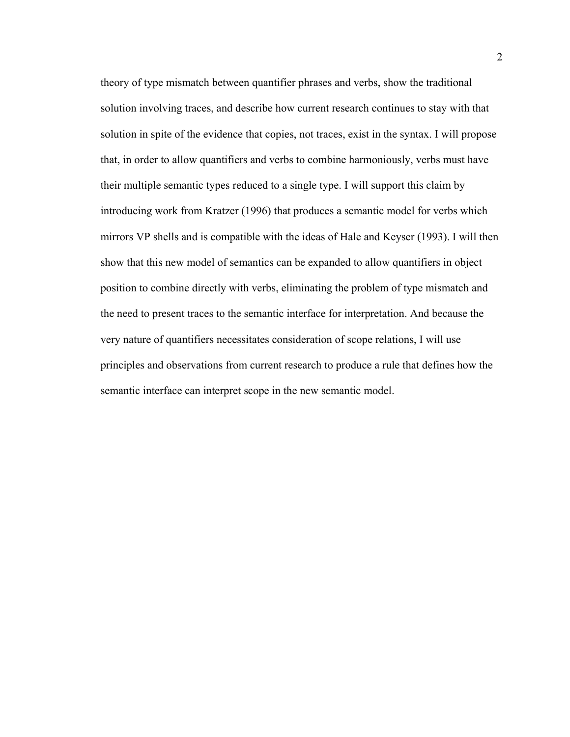theory of type mismatch between quantifier phrases and verbs, show the traditional solution involving traces, and describe how current research continues to stay with that solution in spite of the evidence that copies, not traces, exist in the syntax. I will propose that, in order to allow quantifiers and verbs to combine harmoniously, verbs must have their multiple semantic types reduced to a single type. I will support this claim by introducing work from Kratzer (1996) that produces a semantic model for verbs which mirrors VP shells and is compatible with the ideas of Hale and Keyser (1993). I will then show that this new model of semantics can be expanded to allow quantifiers in object position to combine directly with verbs, eliminating the problem of type mismatch and the need to present traces to the semantic interface for interpretation. And because the very nature of quantifiers necessitates consideration of scope relations, I will use principles and observations from current research to produce a rule that defines how the semantic interface can interpret scope in the new semantic model.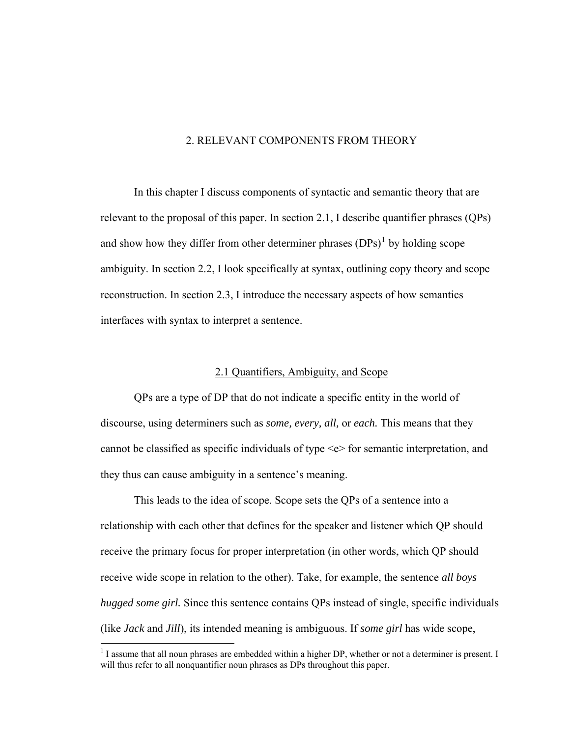# 2. RELEVANT COMPONENTS FROM THEORY

<span id="page-11-0"></span> In this chapter I discuss components of syntactic and semantic theory that are relevant to the proposal of this paper. In section 2.1, I describe quantifier phrases (QPs) and show how they differ from other determiner phrases  $(DPs)^1$  $(DPs)^1$  by holding scope ambiguity. In section 2.2, I look specifically at syntax, outlining copy theory and scope reconstruction. In section 2.3, I introduce the necessary aspects of how semantics interfaces with syntax to interpret a sentence.

# 2.1 Quantifiers, Ambiguity, and Scope

 QPs are a type of DP that do not indicate a specific entity in the world of discourse, using determiners such as *some, every, all,* or *each.* This means that they cannot be classified as specific individuals of type <e> for semantic interpretation, and they thus can cause ambiguity in a sentence's meaning.

 This leads to the idea of scope. Scope sets the QPs of a sentence into a relationship with each other that defines for the speaker and listener which QP should receive the primary focus for proper interpretation (in other words, which QP should receive wide scope in relation to the other). Take, for example, the sentence *all boys hugged some girl.* Since this sentence contains QPs instead of single, specific individuals (like *Jack* and *Jill*), its intended meaning is ambiguous. If *some girl* has wide scope,

<span id="page-11-1"></span><sup>&</sup>lt;sup>1</sup> I assume that all noun phrases are embedded within a higher DP, whether or not a determiner is present. I will thus refer to all nonquantifier noun phrases as DPs throughout this paper.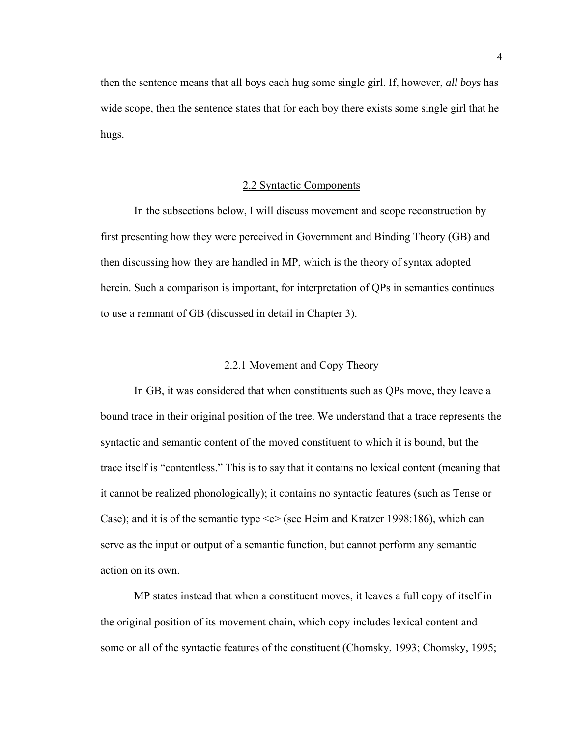<span id="page-12-0"></span>then the sentence means that all boys each hug some single girl. If, however, *all boys* has wide scope, then the sentence states that for each boy there exists some single girl that he hugs.

# 2.2 Syntactic Components

 In the subsections below, I will discuss movement and scope reconstruction by first presenting how they were perceived in Government and Binding Theory (GB) and then discussing how they are handled in MP, which is the theory of syntax adopted herein. Such a comparison is important, for interpretation of QPs in semantics continues to use a remnant of GB (discussed in detail in Chapter 3).

# 2.2.1 Movement and Copy Theory

 In GB, it was considered that when constituents such as QPs move, they leave a bound trace in their original position of the tree. We understand that a trace represents the syntactic and semantic content of the moved constituent to which it is bound, but the trace itself is "contentless." This is to say that it contains no lexical content (meaning that it cannot be realized phonologically); it contains no syntactic features (such as Tense or Case); and it is of the semantic type <e> (see Heim and Kratzer 1998:186), which can serve as the input or output of a semantic function, but cannot perform any semantic action on its own.

 MP states instead that when a constituent moves, it leaves a full copy of itself in the original position of its movement chain, which copy includes lexical content and some or all of the syntactic features of the constituent (Chomsky, 1993; Chomsky, 1995;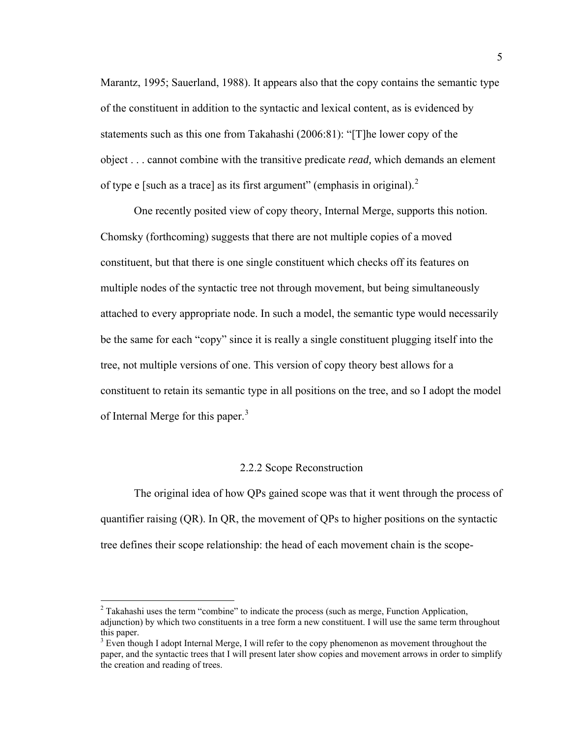Marantz, 1995; Sauerland, 1988). It appears also that the copy contains the semantic type of the constituent in addition to the syntactic and lexical content, as is evidenced by statements such as this one from Takahashi (2006:81): "[T]he lower copy of the object . . . cannot combine with the transitive predicate *read,* which demands an element of type e [such as a trace] as its first argument" (emphasis in original). $2$ 

 One recently posited view of copy theory, Internal Merge, supports this notion. Chomsky (forthcoming) suggests that there are not multiple copies of a moved constituent, but that there is one single constituent which checks off its features on multiple nodes of the syntactic tree not through movement, but being simultaneously attached to every appropriate node. In such a model, the semantic type would necessarily be the same for each "copy" since it is really a single constituent plugging itself into the tree, not multiple versions of one. This version of copy theory best allows for a constituent to retain its semantic type in all positions on the tree, and so I adopt the model of Internal Merge for this paper.<sup>[3](#page-13-1)</sup>

# 2.2.2 Scope Reconstruction

 The original idea of how QPs gained scope was that it went through the process of quantifier raising (QR). In QR, the movement of QPs to higher positions on the syntactic tree defines their scope relationship: the head of each movement chain is the scope-

1

<span id="page-13-0"></span> $2^{2}$  Takahashi uses the term "combine" to indicate the process (such as merge, Function Application, adjunction) by which two constituents in a tree form a new constituent. I will use the same term throughout this paper.

<span id="page-13-1"></span> $3$  Even though I adopt Internal Merge, I will refer to the copy phenomenon as movement throughout the paper, and the syntactic trees that I will present later show copies and movement arrows in order to simplify the creation and reading of trees.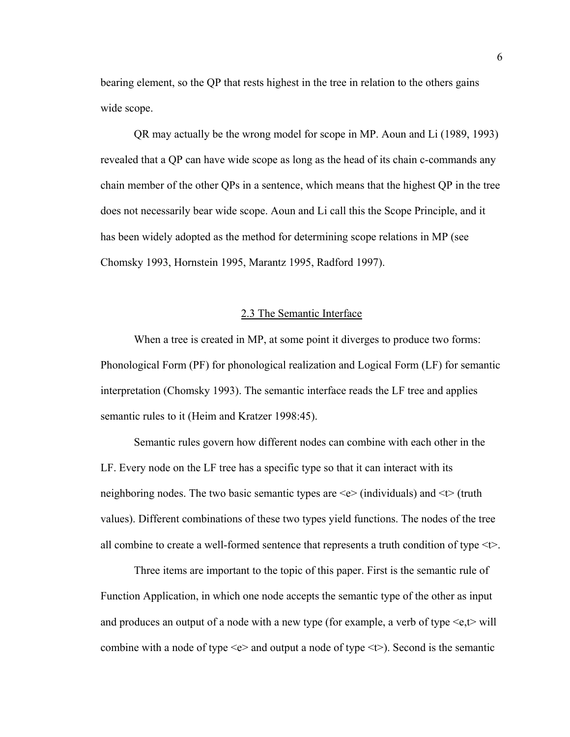<span id="page-14-0"></span>bearing element, so the QP that rests highest in the tree in relation to the others gains wide scope.

 QR may actually be the wrong model for scope in MP. Aoun and Li (1989, 1993) revealed that a QP can have wide scope as long as the head of its chain c-commands any chain member of the other QPs in a sentence, which means that the highest QP in the tree does not necessarily bear wide scope. Aoun and Li call this the Scope Principle, and it has been widely adopted as the method for determining scope relations in MP (see Chomsky 1993, Hornstein 1995, Marantz 1995, Radford 1997).

# 2.3 The Semantic Interface

 When a tree is created in MP, at some point it diverges to produce two forms: Phonological Form (PF) for phonological realization and Logical Form (LF) for semantic interpretation (Chomsky 1993). The semantic interface reads the LF tree and applies semantic rules to it (Heim and Kratzer 1998:45).

 Semantic rules govern how different nodes can combine with each other in the LF. Every node on the LF tree has a specific type so that it can interact with its neighboring nodes. The two basic semantic types are  $\leq e$  (individuals) and  $\leq t$  (truth values). Different combinations of these two types yield functions. The nodes of the tree all combine to create a well-formed sentence that represents a truth condition of type  $\leq t$ .

Three items are important to the topic of this paper. First is the semantic rule of Function Application, in which one node accepts the semantic type of the other as input and produces an output of a node with a new type (for example, a verb of type  $\leq e, t$  will combine with a node of type  $\leq e$  and output a node of type  $\leq \geq$ ). Second is the semantic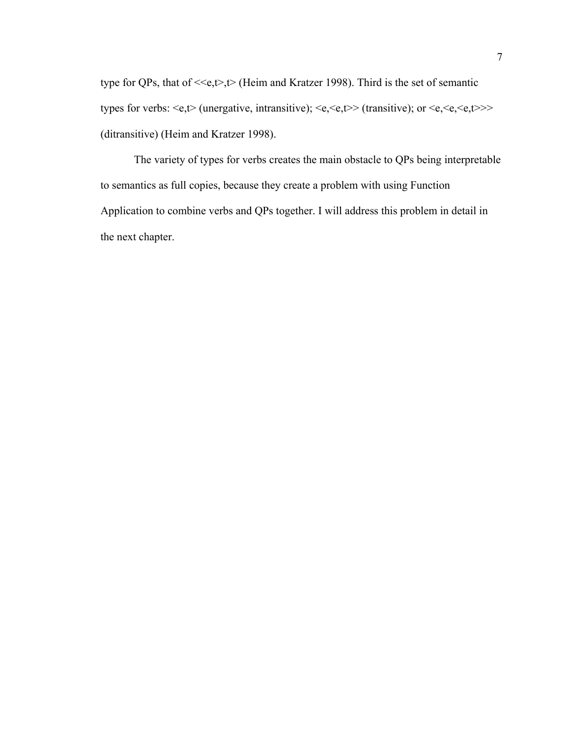type for QPs, that of  $\leq \epsilon, t$ ,  $\geq$  (Heim and Kratzer 1998). Third is the set of semantic types for verbs:  $\leq e, t$  (unergative, intransitive);  $\leq e, \leq e, t$  (transitive); or  $\leq e, \leq e, t$  >>> (ditransitive) (Heim and Kratzer 1998).

The variety of types for verbs creates the main obstacle to QPs being interpretable to semantics as full copies, because they create a problem with using Function Application to combine verbs and QPs together. I will address this problem in detail in the next chapter.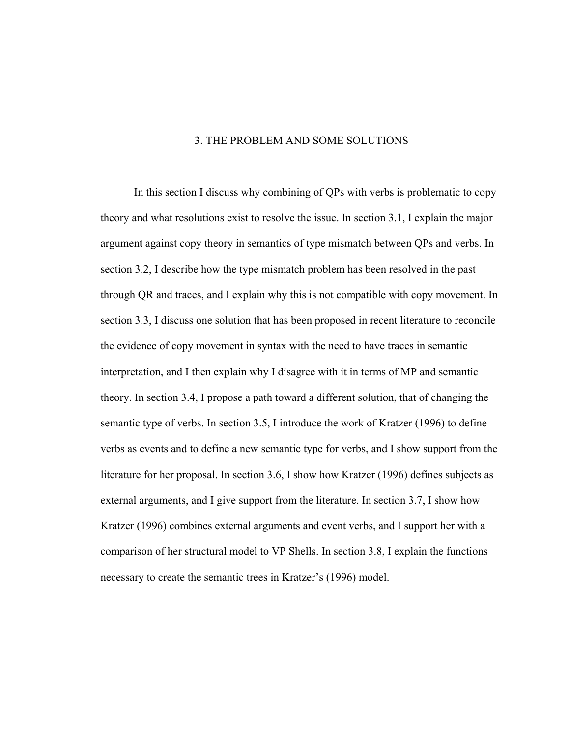## 3. THE PROBLEM AND SOME SOLUTIONS

<span id="page-16-0"></span>In this section I discuss why combining of QPs with verbs is problematic to copy theory and what resolutions exist to resolve the issue. In section 3.1, I explain the major argument against copy theory in semantics of type mismatch between QPs and verbs. In section 3.2, I describe how the type mismatch problem has been resolved in the past through QR and traces, and I explain why this is not compatible with copy movement. In section 3.3, I discuss one solution that has been proposed in recent literature to reconcile the evidence of copy movement in syntax with the need to have traces in semantic interpretation, and I then explain why I disagree with it in terms of MP and semantic theory. In section 3.4, I propose a path toward a different solution, that of changing the semantic type of verbs. In section 3.5, I introduce the work of Kratzer (1996) to define verbs as events and to define a new semantic type for verbs, and I show support from the literature for her proposal. In section 3.6, I show how Kratzer (1996) defines subjects as external arguments, and I give support from the literature. In section 3.7, I show how Kratzer (1996) combines external arguments and event verbs, and I support her with a comparison of her structural model to VP Shells. In section 3.8, I explain the functions necessary to create the semantic trees in Kratzer's (1996) model.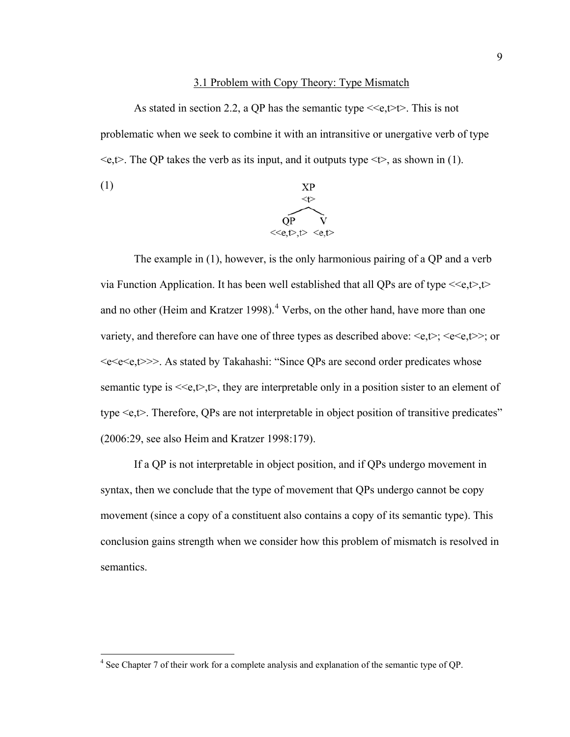# 3.1 Problem with Copy Theory: Type Mismatch

<span id="page-17-0"></span>As stated in section 2.2, a QP has the semantic type  $\leq \epsilon, \leq \uparrow$ . This is not problematic when we seek to combine it with an intransitive or unergative verb of type  $\leq$ e,t $>$ . The QP takes the verb as its input, and it outputs type  $\leq t$ , as shown in (1).



The example in (1), however, is the only harmonious pairing of a QP and a verb via Function Application. It has been well established that all QPs are of type  $\leq \epsilon, t$ , t and no other (Heim and Kratzer 1998).<sup>[4](#page-17-1)</sup> Verbs, on the other hand, have more than one variety, and therefore can have one of three types as described above:  $\langle e,t \rangle$ ;  $\langle e \langle e,t \rangle$ ; or <e<e<e,t>>>. As stated by Takahashi: "Since QPs are second order predicates whose semantic type is  $\langle e, t \rangle, t \rangle$ , they are interpretable only in a position sister to an element of type <e,t>. Therefore, QPs are not interpretable in object position of transitive predicates" (2006:29, see also Heim and Kratzer 1998:179).

If a QP is not interpretable in object position, and if QPs undergo movement in syntax, then we conclude that the type of movement that QPs undergo cannot be copy movement (since a copy of a constituent also contains a copy of its semantic type). This conclusion gains strength when we consider how this problem of mismatch is resolved in semantics.

<span id="page-17-1"></span><sup>&</sup>lt;sup>4</sup> See Chapter 7 of their work for a complete analysis and explanation of the semantic type of QP.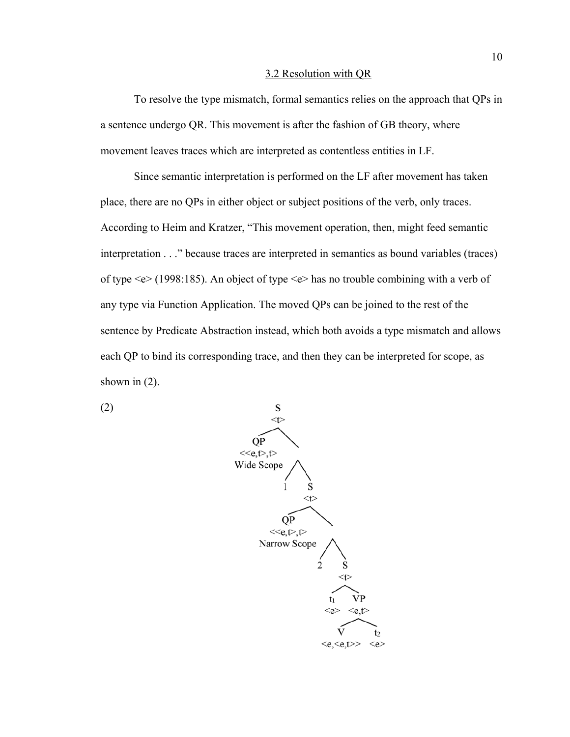#### 3.2 Resolution with QR

<span id="page-18-0"></span>To resolve the type mismatch, formal semantics relies on the approach that QPs in a sentence undergo QR. This movement is after the fashion of GB theory, where movement leaves traces which are interpreted as contentless entities in LF.

Since semantic interpretation is performed on the LF after movement has taken place, there are no QPs in either object or subject positions of the verb, only traces. According to Heim and Kratzer, "This movement operation, then, might feed semantic interpretation . . ." because traces are interpreted in semantics as bound variables (traces) of type <e> (1998:185). An object of type <e> has no trouble combining with a verb of any type via Function Application. The moved QPs can be joined to the rest of the sentence by Predicate Abstraction instead, which both avoids a type mismatch and allows each QP to bind its corresponding trace, and then they can be interpreted for scope, as shown in  $(2)$ .



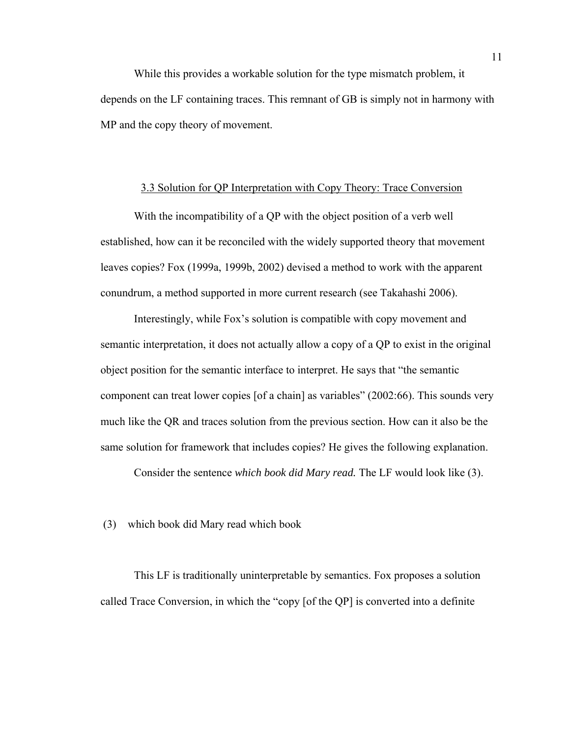<span id="page-19-0"></span> While this provides a workable solution for the type mismatch problem, it depends on the LF containing traces. This remnant of GB is simply not in harmony with MP and the copy theory of movement.

## 3.3 Solution for QP Interpretation with Copy Theory: Trace Conversion

With the incompatibility of a QP with the object position of a verb well established, how can it be reconciled with the widely supported theory that movement leaves copies? Fox (1999a, 1999b, 2002) devised a method to work with the apparent conundrum, a method supported in more current research (see Takahashi 2006).

Interestingly, while Fox's solution is compatible with copy movement and semantic interpretation, it does not actually allow a copy of a QP to exist in the original object position for the semantic interface to interpret. He says that "the semantic component can treat lower copies [of a chain] as variables" (2002:66). This sounds very much like the QR and traces solution from the previous section. How can it also be the same solution for framework that includes copies? He gives the following explanation.

Consider the sentence *which book did Mary read.* The LF would look like (3).

(3) which book did Mary read which book

This LF is traditionally uninterpretable by semantics. Fox proposes a solution called Trace Conversion, in which the "copy [of the QP] is converted into a definite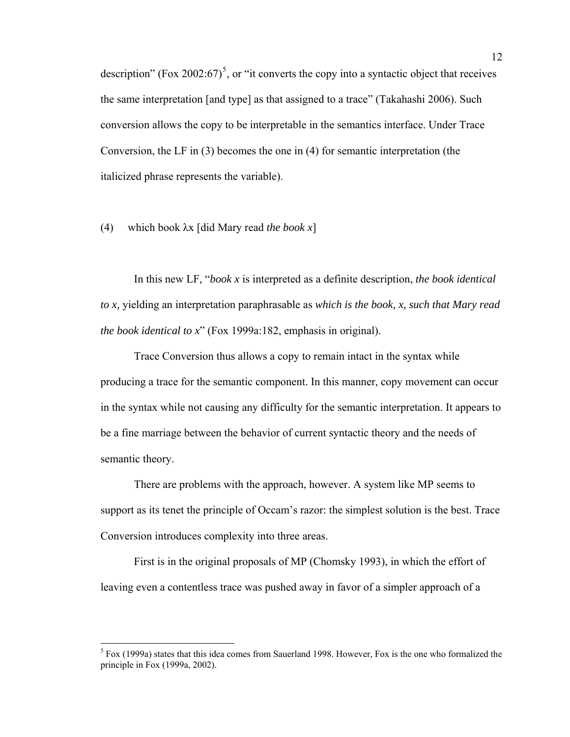description" (Fox 2002:67)<sup>[5](#page-20-0)</sup>, or "it converts the copy into a syntactic object that receives the same interpretation [and type] as that assigned to a trace" (Takahashi 2006). Such conversion allows the copy to be interpretable in the semantics interface. Under Trace Conversion, the LF in (3) becomes the one in (4) for semantic interpretation (the italicized phrase represents the variable).

(4) which book λx [did Mary read *the book x*]

In this new LF, "*book x* is interpreted as a definite description, *the book identical to x,* yielding an interpretation paraphrasable as *which is the book, x, such that Mary read the book identical to x*" (Fox 1999a:182, emphasis in original).

Trace Conversion thus allows a copy to remain intact in the syntax while producing a trace for the semantic component. In this manner, copy movement can occur in the syntax while not causing any difficulty for the semantic interpretation. It appears to be a fine marriage between the behavior of current syntactic theory and the needs of semantic theory.

There are problems with the approach, however. A system like MP seems to support as its tenet the principle of Occam's razor: the simplest solution is the best. Trace Conversion introduces complexity into three areas.

First is in the original proposals of MP (Chomsky 1993), in which the effort of leaving even a contentless trace was pushed away in favor of a simpler approach of a

<span id="page-20-0"></span><sup>&</sup>lt;sup>5</sup> Fox (1999a) states that this idea comes from Sauerland 1998. However, Fox is the one who formalized the principle in Fox (1999a, 2002).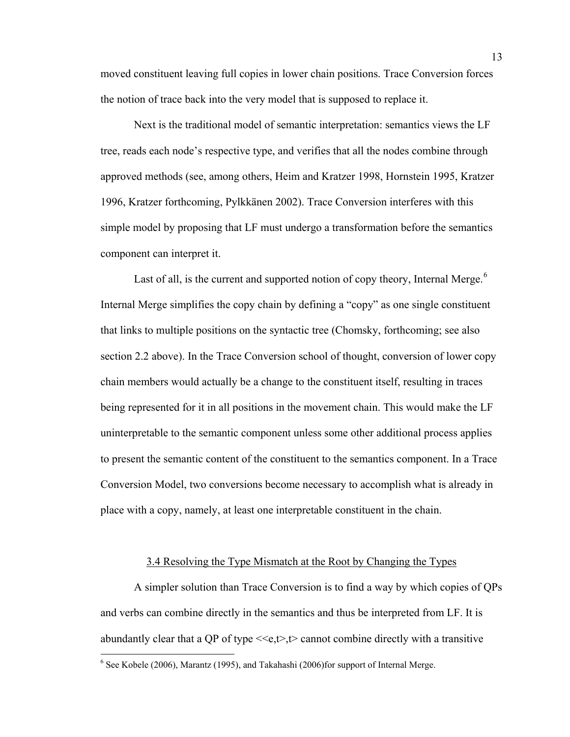<span id="page-21-0"></span>moved constituent leaving full copies in lower chain positions. Trace Conversion forces the notion of trace back into the very model that is supposed to replace it.

Next is the traditional model of semantic interpretation: semantics views the LF tree, reads each node's respective type, and verifies that all the nodes combine through approved methods (see, among others, Heim and Kratzer 1998, Hornstein 1995, Kratzer 1996, Kratzer forthcoming, Pylkkänen 2002). Trace Conversion interferes with this simple model by proposing that LF must undergo a transformation before the semantics component can interpret it.

Last of all, is the current and supported notion of copy theory, Internal Merge.<sup>[6](#page-21-1)</sup> Internal Merge simplifies the copy chain by defining a "copy" as one single constituent that links to multiple positions on the syntactic tree (Chomsky, forthcoming; see also section 2.2 above). In the Trace Conversion school of thought, conversion of lower copy chain members would actually be a change to the constituent itself, resulting in traces being represented for it in all positions in the movement chain. This would make the LF uninterpretable to the semantic component unless some other additional process applies to present the semantic content of the constituent to the semantics component. In a Trace Conversion Model, two conversions become necessary to accomplish what is already in place with a copy, namely, at least one interpretable constituent in the chain.

# 3.4 Resolving the Type Mismatch at the Root by Changing the Types

A simpler solution than Trace Conversion is to find a way by which copies of QPs and verbs can combine directly in the semantics and thus be interpreted from LF. It is abundantly clear that a QP of type  $\leq \epsilon, t$ ,  $\geq$  cannot combine directly with a transitive

 $\overline{a}$ 

<span id="page-21-1"></span> $6$  See Kobele (2006), Marantz (1995), and Takahashi (2006)for support of Internal Merge.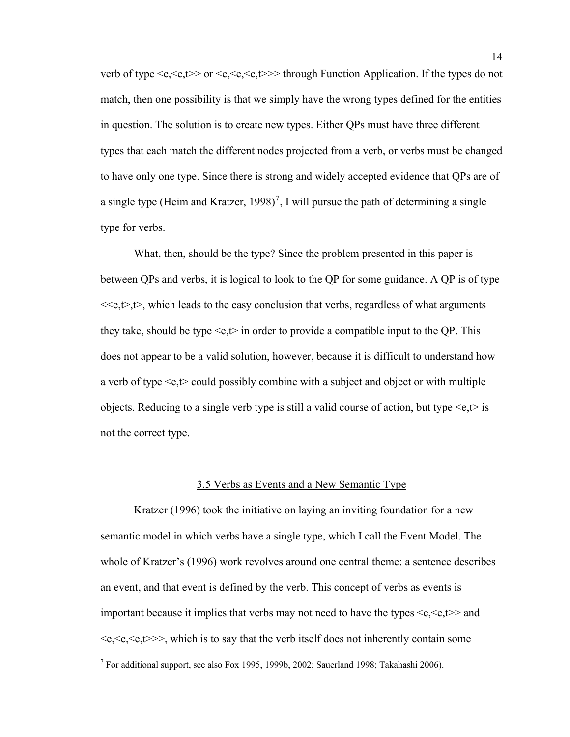<span id="page-22-0"></span>verb of type  $\langle e, \langle e, \langle e \rangle \rangle$  or  $\langle e, \langle e, \langle e, \langle e \rangle \rangle \rangle$  through Function Application. If the types do not match, then one possibility is that we simply have the wrong types defined for the entities in question. The solution is to create new types. Either QPs must have three different types that each match the different nodes projected from a verb, or verbs must be changed to have only one type. Since there is strong and widely accepted evidence that QPs are of a single type (Heim and Kratzer, 1998)<sup>[7](#page-22-1)</sup>, I will pursue the path of determining a single type for verbs.

What, then, should be the type? Since the problem presented in this paper is between QPs and verbs, it is logical to look to the QP for some guidance. A QP is of type  $\ll\epsilon, t$ , which leads to the easy conclusion that verbs, regardless of what arguments they take, should be type  $\leq e, t$  in order to provide a compatible input to the QP. This does not appear to be a valid solution, however, because it is difficult to understand how a verb of type  $\leq e, t$  could possibly combine with a subject and object or with multiple objects. Reducing to a single verb type is still a valid course of action, but type  $\leq e, t$  is not the correct type.

#### 3.5 Verbs as Events and a New Semantic Type

Kratzer (1996) took the initiative on laying an inviting foundation for a new semantic model in which verbs have a single type, which I call the Event Model. The whole of Kratzer's (1996) work revolves around one central theme: a sentence describes an event, and that event is defined by the verb. This concept of verbs as events is important because it implies that verbs may not need to have the types  $\langle e, \langle e, t \rangle \rangle$  and  $\langle e, \langle e, \langle e, t \rangle \rangle$ , which is to say that the verb itself does not inherently contain some

 $\overline{a}$ 

<span id="page-22-1"></span><sup>&</sup>lt;sup>7</sup> For additional support, see also Fox 1995, 1999b, 2002; Sauerland 1998; Takahashi 2006).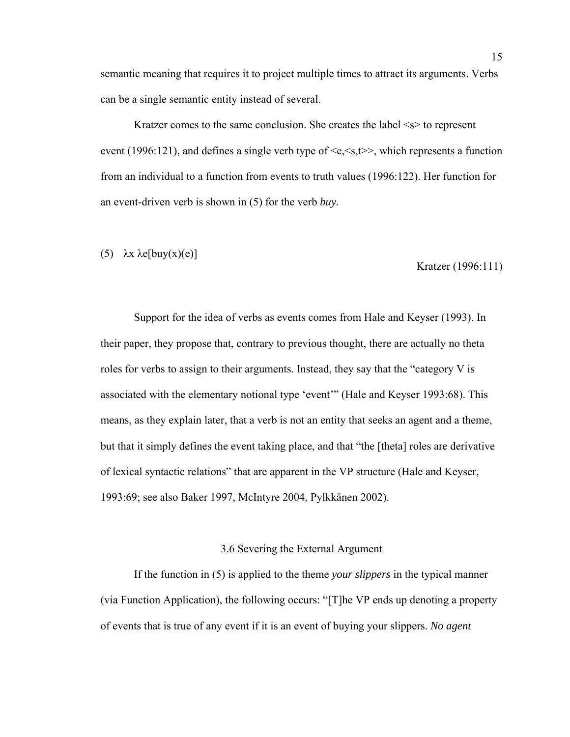<span id="page-23-0"></span>semantic meaning that requires it to project multiple times to attract its arguments. Verbs can be a single semantic entity instead of several.

Kratzer comes to the same conclusion. She creates the label  $\leq s$  to represent event (1996:121), and defines a single verb type of  $\langle e, \langle s, t \rangle \rangle$ , which represents a function from an individual to a function from events to truth values (1996:122). Her function for an event-driven verb is shown in (5) for the verb *buy.* 

# (5)  $\lambda x \lambda e$ [buy(x)(e)]

Kratzer (1996:111)

Support for the idea of verbs as events comes from Hale and Keyser (1993). In their paper, they propose that, contrary to previous thought, there are actually no theta roles for verbs to assign to their arguments. Instead, they say that the "category V is associated with the elementary notional type 'event'" (Hale and Keyser 1993:68). This means, as they explain later, that a verb is not an entity that seeks an agent and a theme, but that it simply defines the event taking place, and that "the [theta] roles are derivative of lexical syntactic relations" that are apparent in the VP structure (Hale and Keyser, 1993:69; see also Baker 1997, McIntyre 2004, Pylkkänen 2002).

# 3.6 Severing the External Argument

If the function in (5) is applied to the theme *your slippers* in the typical manner (via Function Application), the following occurs: "[T]he VP ends up denoting a property of events that is true of any event if it is an event of buying your slippers. *No agent*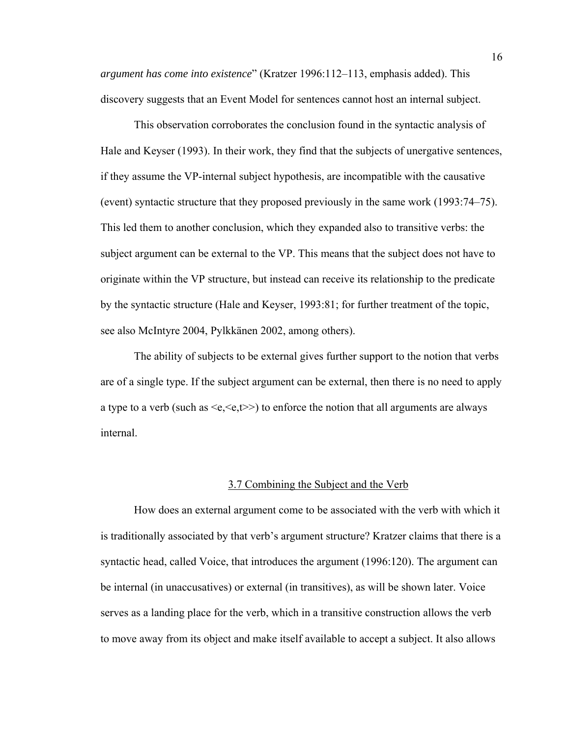<span id="page-24-0"></span>*argument has come into existence*" (Kratzer 1996:112–113, emphasis added). This discovery suggests that an Event Model for sentences cannot host an internal subject.

This observation corroborates the conclusion found in the syntactic analysis of Hale and Keyser (1993). In their work, they find that the subjects of unergative sentences, if they assume the VP-internal subject hypothesis, are incompatible with the causative (event) syntactic structure that they proposed previously in the same work (1993:74–75). This led them to another conclusion, which they expanded also to transitive verbs: the subject argument can be external to the VP. This means that the subject does not have to originate within the VP structure, but instead can receive its relationship to the predicate by the syntactic structure (Hale and Keyser, 1993:81; for further treatment of the topic, see also McIntyre 2004, Pylkkänen 2002, among others).

 The ability of subjects to be external gives further support to the notion that verbs are of a single type. If the subject argument can be external, then there is no need to apply a type to a verb (such as  $\leq e, \leq t \geq$ ) to enforce the notion that all arguments are always internal.

#### 3.7 Combining the Subject and the Verb

How does an external argument come to be associated with the verb with which it is traditionally associated by that verb's argument structure? Kratzer claims that there is a syntactic head, called Voice, that introduces the argument (1996:120). The argument can be internal (in unaccusatives) or external (in transitives), as will be shown later. Voice serves as a landing place for the verb, which in a transitive construction allows the verb to move away from its object and make itself available to accept a subject. It also allows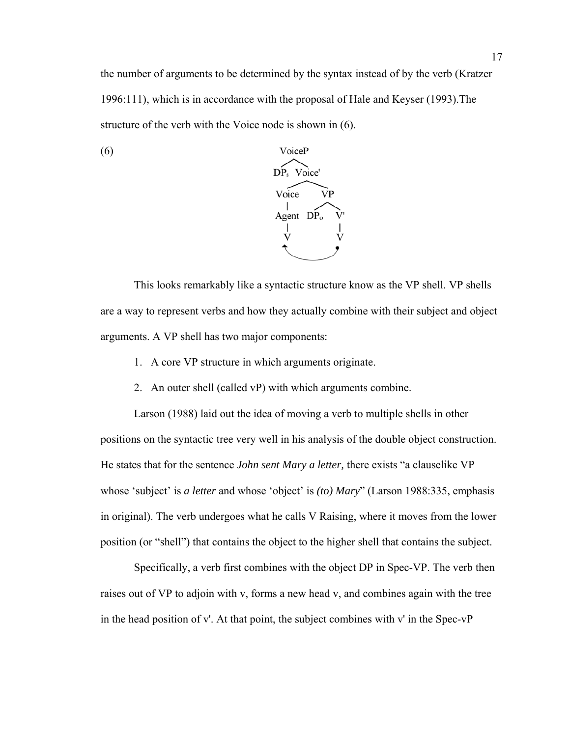the number of arguments to be determined by the syntax instead of by the verb (Kratzer 1996:111), which is in accordance with the proposal of Hale and Keyser (1993).The structure of the verb with the Voice node is shown in (6).



(6)

This looks remarkably like a syntactic structure know as the VP shell. VP shells are a way to represent verbs and how they actually combine with their subject and object arguments. A VP shell has two major components:

- 1. A core VP structure in which arguments originate.
- 2. An outer shell (called vP) with which arguments combine.

Larson (1988) laid out the idea of moving a verb to multiple shells in other positions on the syntactic tree very well in his analysis of the double object construction. He states that for the sentence *John sent Mary a letter,* there exists "a clauselike VP whose 'subject' is *a letter* and whose 'object' is *(to) Mary*" (Larson 1988:335, emphasis in original). The verb undergoes what he calls V Raising, where it moves from the lower position (or "shell") that contains the object to the higher shell that contains the subject.

Specifically, a verb first combines with the object DP in Spec-VP. The verb then raises out of VP to adjoin with v, forms a new head v, and combines again with the tree in the head position of v'. At that point, the subject combines with v' in the Spec-vP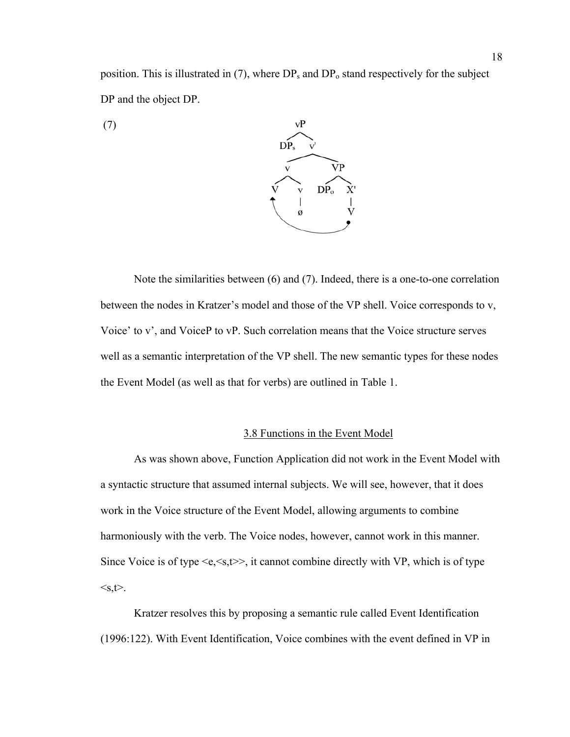<span id="page-26-0"></span>position. This is illustrated in  $(7)$ , where  $DP_s$  and  $DP_o$  stand respectively for the subject DP and the object DP.

(7)



Note the similarities between (6) and (7). Indeed, there is a one-to-one correlation between the nodes in Kratzer's model and those of the VP shell. Voice corresponds to v, Voice' to v', and VoiceP to vP. Such correlation means that the Voice structure serves well as a semantic interpretation of the VP shell. The new semantic types for these nodes the Event Model (as well as that for verbs) are outlined in Table 1.

# 3.8 Functions in the Event Model

As was shown above, Function Application did not work in the Event Model with a syntactic structure that assumed internal subjects. We will see, however, that it does work in the Voice structure of the Event Model, allowing arguments to combine harmoniously with the verb. The Voice nodes, however, cannot work in this manner. Since Voice is of type  $\leq e \leq s, t \geq 0$ , it cannot combine directly with VP, which is of type  $\leq s,t$ .

Kratzer resolves this by proposing a semantic rule called Event Identification (1996:122). With Event Identification, Voice combines with the event defined in VP in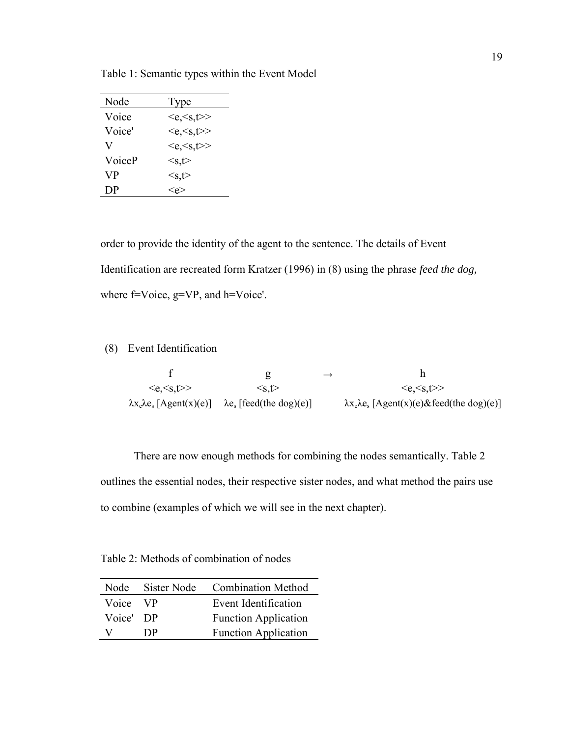| Node   | Type                                      |
|--------|-------------------------------------------|
| Voice  | $\langle e, \langle s, t \rangle \rangle$ |
| Voice' | $\langle e, \langle s, t \rangle \rangle$ |
| V      | $\langle e, \langle s, t \rangle \rangle$ |
| VoiceP | $\leq$ s,t $>$                            |
| VР     | $\leq$ s,t $>$                            |
| DP     |                                           |

Table 1: Semantic types within the Event Model

order to provide the identity of the agent to the sentence. The details of Event Identification are recreated form Kratzer (1996) in (8) using the phrase *feed the dog,* where f=Voice, g=VP, and h=Voice'.

(8) Event Identification

|                                           | g                                           | $\rightarrow$ |                                                          |
|-------------------------------------------|---------------------------------------------|---------------|----------------------------------------------------------|
| $\langle e, \langle s, t \rangle \rangle$ | $\leq$ s.t $>$                              |               | $\langle e, \langle s, t \rangle \rangle$                |
| $\lambda x_e \lambda e_s$ [Agent(x)(e)]   | $\lambda$ e <sub>s</sub> [feed(the dog)(e)] |               | $\lambda x_e \lambda e_s$ [Agent(x)(e)&feed(the dog)(e)] |

There are now enough methods for combining the nodes semantically. Table 2 outlines the essential nodes, their respective sister nodes, and what method the pairs use to combine (examples of which we will see in the next chapter).

Table 2: Methods of combination of nodes

| Node      | Sister Node | <b>Combination Method</b>   |
|-----------|-------------|-----------------------------|
| Voice VP  |             | Event Identification        |
| Voice' DP |             | <b>Function Application</b> |
| v         | DP          | <b>Function Application</b> |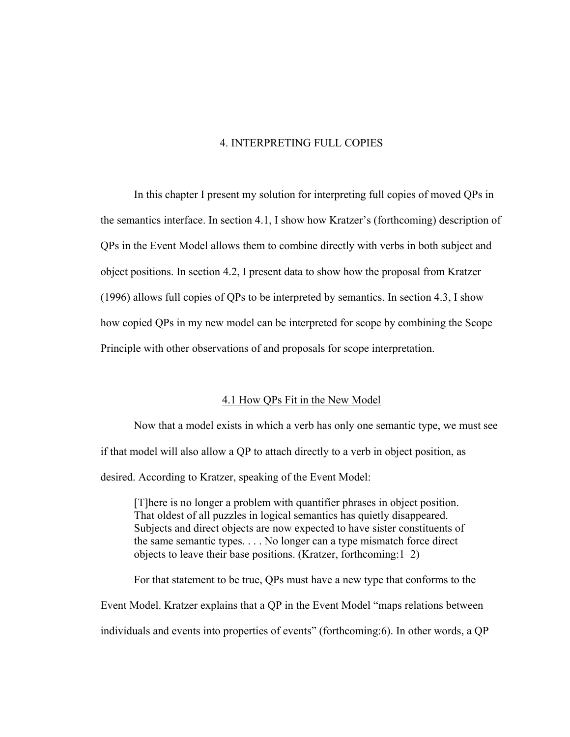# 4. INTERPRETING FULL COPIES

<span id="page-28-0"></span>In this chapter I present my solution for interpreting full copies of moved QPs in the semantics interface. In section 4.1, I show how Kratzer's (forthcoming) description of QPs in the Event Model allows them to combine directly with verbs in both subject and object positions. In section 4.2, I present data to show how the proposal from Kratzer (1996) allows full copies of QPs to be interpreted by semantics. In section 4.3, I show how copied QPs in my new model can be interpreted for scope by combining the Scope Principle with other observations of and proposals for scope interpretation.

# 4.1 How QPs Fit in the New Model

 Now that a model exists in which a verb has only one semantic type, we must see if that model will also allow a QP to attach directly to a verb in object position, as desired. According to Kratzer, speaking of the Event Model:

[T]here is no longer a problem with quantifier phrases in object position. That oldest of all puzzles in logical semantics has quietly disappeared. Subjects and direct objects are now expected to have sister constituents of the same semantic types. . . . No longer can a type mismatch force direct objects to leave their base positions. (Kratzer, forthcoming:1–2)

For that statement to be true, QPs must have a new type that conforms to the Event Model. Kratzer explains that a QP in the Event Model "maps relations between individuals and events into properties of events" (forthcoming:6). In other words, a QP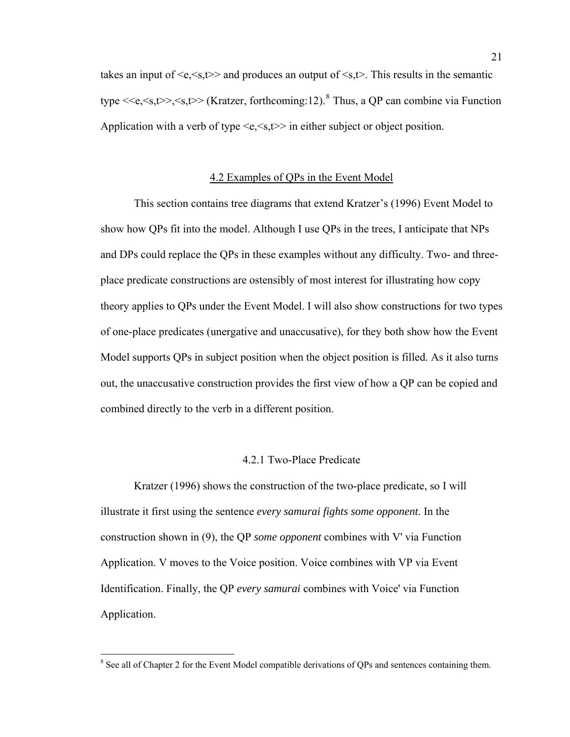<span id="page-29-0"></span>takes an input of  $\langle e, \langle s, t \rangle \rangle$  and produces an output of  $\langle s, t \rangle$ . This results in the semantic type  $\langle \langle e, \langle s,t \rangle \rangle, \langle s,t \rangle$  (Kratzer, forthcoming:12). <sup>[8](#page-29-1)</sup> Thus, a QP can combine via Function Application with a verb of type  $\leq e \leq s, t \geq \infty$  in either subject or object position.

# 4.2 Examples of QPs in the Event Model

 This section contains tree diagrams that extend Kratzer's (1996) Event Model to show how QPs fit into the model. Although I use QPs in the trees, I anticipate that NPs and DPs could replace the QPs in these examples without any difficulty. Two- and threeplace predicate constructions are ostensibly of most interest for illustrating how copy theory applies to QPs under the Event Model. I will also show constructions for two types of one-place predicates (unergative and unaccusative), for they both show how the Event Model supports QPs in subject position when the object position is filled. As it also turns out, the unaccusative construction provides the first view of how a QP can be copied and combined directly to the verb in a different position.

# 4.2.1 Two-Place Predicate

 Kratzer (1996) shows the construction of the two-place predicate, so I will illustrate it first using the sentence *every samurai fights some opponent.* In the construction shown in (9), the QP *some opponent* combines with V' via Function Application. V moves to the Voice position. Voice combines with VP via Event Identification. Finally, the QP *every samurai* combines with Voice' via Function Application.

 $\overline{a}$ 

<span id="page-29-1"></span><sup>&</sup>lt;sup>8</sup> See all of Chapter 2 for the Event Model compatible derivations of QPs and sentences containing them.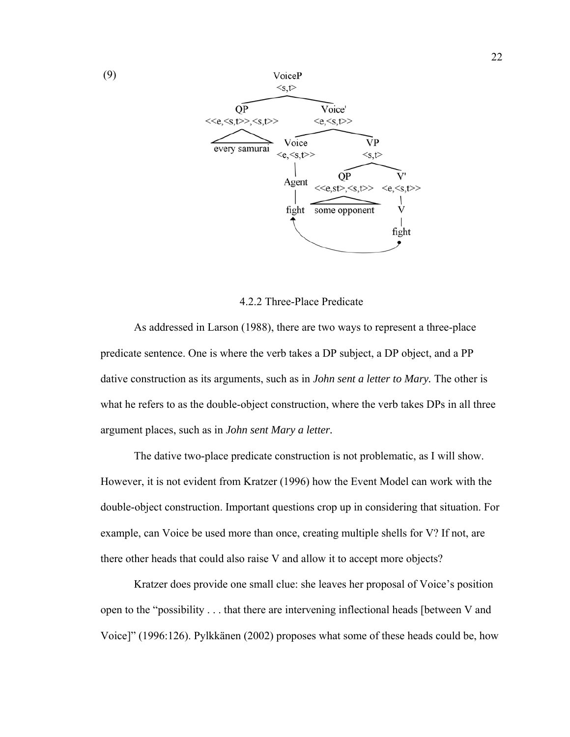

# 4.2.2 Three-Place Predicate

 As addressed in Larson (1988), there are two ways to represent a three-place predicate sentence. One is where the verb takes a DP subject, a DP object, and a PP dative construction as its arguments, such as in *John sent a letter to Mary.* The other is what he refers to as the double-object construction, where the verb takes DPs in all three argument places, such as in *John sent Mary a letter.* 

 The dative two-place predicate construction is not problematic, as I will show. However, it is not evident from Kratzer (1996) how the Event Model can work with the double-object construction. Important questions crop up in considering that situation. For example, can Voice be used more than once, creating multiple shells for V? If not, are there other heads that could also raise V and allow it to accept more objects?

 Kratzer does provide one small clue: she leaves her proposal of Voice's position open to the "possibility . . . that there are intervening inflectional heads [between V and Voice]" (1996:126). Pylkkänen (2002) proposes what some of these heads could be, how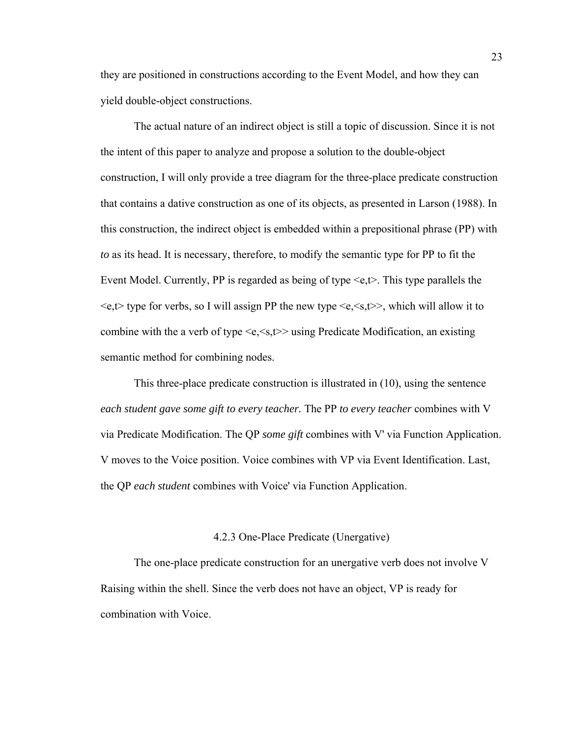they are positioned in constructions according to the Event Model, and how they can yield double-object constructions.

The actual nature of an indirect object is still a topic of discussion. Since it is not the intent of this paper to analyze and propose a solution to the double-object construction, I will only provide a tree diagram for the three-place predicate construction that contains a dative construction as one of its objects, as presented in Larson (1988). In this construction, the indirect object is embedded within a prepositional phrase (PP) with *to* as its head. It is necessary, therefore, to modify the semantic type for PP to fit the Event Model. Currently, PP is regarded as being of type  $\leq e, t$ . This type parallels the  $\leq e, t$  type for verbs, so I will assign PP the new type  $\leq e, \leq s, t$  which will allow it to combine with the a verb of type  $\leq e \leq s, t \geq$  using Predicate Modification, an existing semantic method for combining nodes.

This three-place predicate construction is illustrated in (10), using the sentence *each student gave some gift to every teacher.* The PP *to every teacher* combines with V via Predicate Modification. The QP *some gift* combines with V' via Function Application. V moves to the Voice position. Voice combines with VP via Event Identification. Last, the QP *each student* combines with Voice' via Function Application.

# 4.2.3 One-Place Predicate (Unergative)

 The one-place predicate construction for an unergative verb does not involve V Raising within the shell. Since the verb does not have an object, VP is ready for combination with Voice.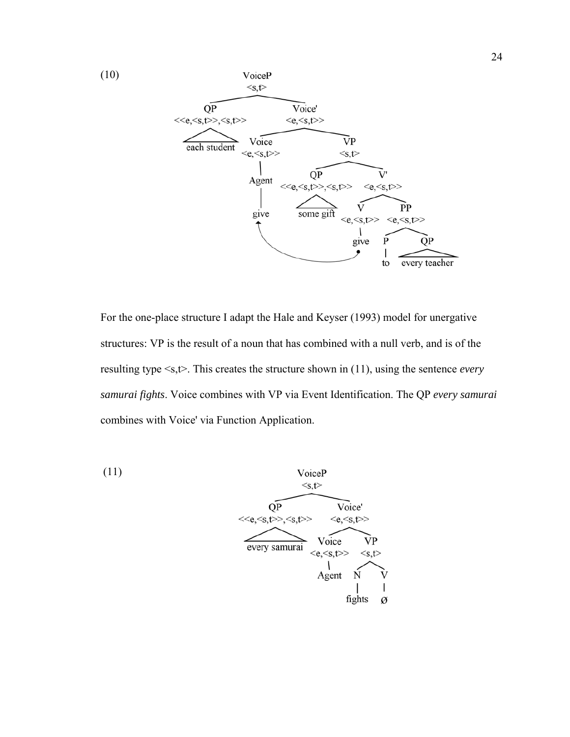

For the one-place structure I adapt the Hale and Keyser (1993) model for unergative structures: VP is the result of a noun that has combined with a null verb, and is of the resulting type <s,t>. This creates the structure shown in (11), using the sentence *every samurai fights*. Voice combines with VP via Event Identification. The QP *every samurai* combines with Voice' via Function Application.

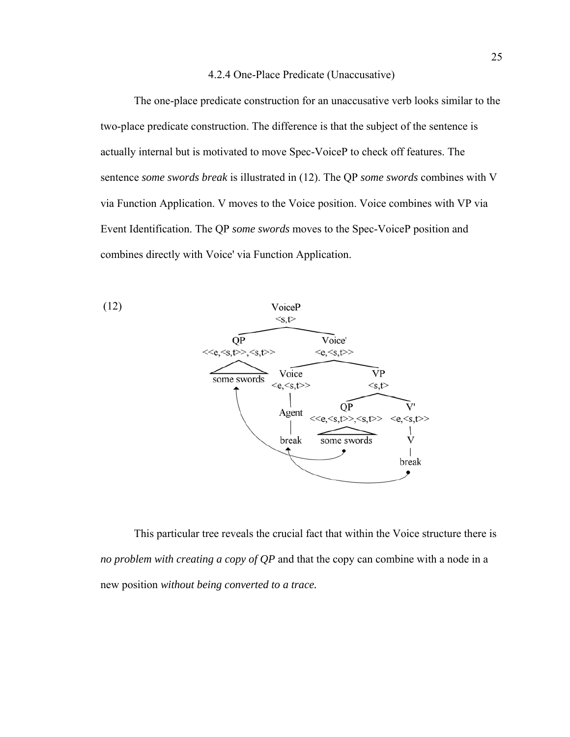## 4.2.4 One-Place Predicate (Unaccusative)

 The one-place predicate construction for an unaccusative verb looks similar to the two-place predicate construction. The difference is that the subject of the sentence is actually internal but is motivated to move Spec-VoiceP to check off features. The sentence *some swords break* is illustrated in (12). The QP *some swords* combines with V via Function Application. V moves to the Voice position. Voice combines with VP via Event Identification. The QP *some swords* moves to the Spec-VoiceP position and combines directly with Voice' via Function Application.



This particular tree reveals the crucial fact that within the Voice structure there is *no problem with creating a copy of QP* and that the copy can combine with a node in a new position *without being converted to a trace.*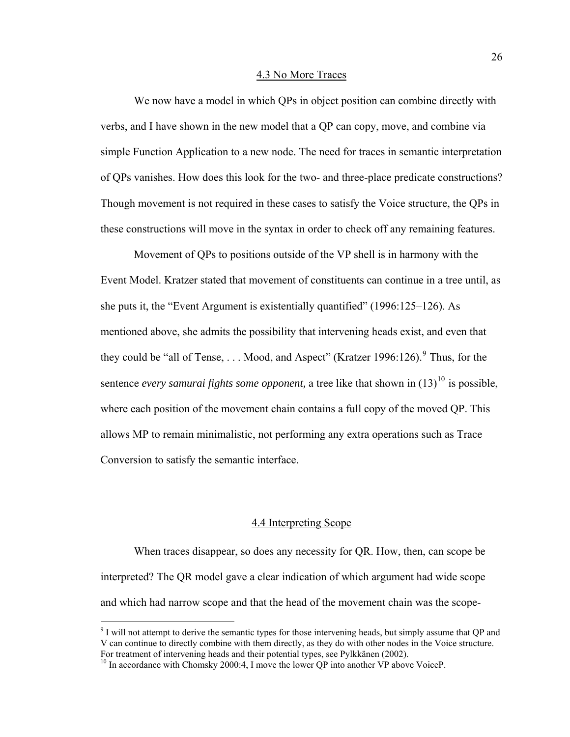#### 4.3 No More Traces

<span id="page-34-0"></span>We now have a model in which OPs in object position can combine directly with verbs, and I have shown in the new model that a QP can copy, move, and combine via simple Function Application to a new node. The need for traces in semantic interpretation of QPs vanishes. How does this look for the two- and three-place predicate constructions? Though movement is not required in these cases to satisfy the Voice structure, the QPs in these constructions will move in the syntax in order to check off any remaining features.

 Movement of QPs to positions outside of the VP shell is in harmony with the Event Model. Kratzer stated that movement of constituents can continue in a tree until, as she puts it, the "Event Argument is existentially quantified" (1996:125–126). As mentioned above, she admits the possibility that intervening heads exist, and even that they could be "all of Tense,  $\dots$  Mood, and Aspect" (Kratzer 1[9](#page-34-1)96:126). Thus, for the sentence *every samurai fights some opponent*, a tree like that shown in  $(13)^{10}$  $(13)^{10}$  $(13)^{10}$  is possible, where each position of the movement chain contains a full copy of the moved QP. This allows MP to remain minimalistic, not performing any extra operations such as Trace Conversion to satisfy the semantic interface.

# 4.4 Interpreting Scope

When traces disappear, so does any necessity for QR. How, then, can scope be interpreted? The QR model gave a clear indication of which argument had wide scope and which had narrow scope and that the head of the movement chain was the scope-

<span id="page-34-1"></span><sup>&</sup>lt;sup>9</sup> I will not attempt to derive the semantic types for those intervening heads, but simply assume that QP and V can continue to directly combine with them directly, as they do with other nodes in the Voice structure.<br>For treatment of intervening heads and their potential types, see Pylkkänen (2002).

<span id="page-34-2"></span> $^{10}$  In accordance with Chomsky 2000:4, I move the lower QP into another VP above VoiceP.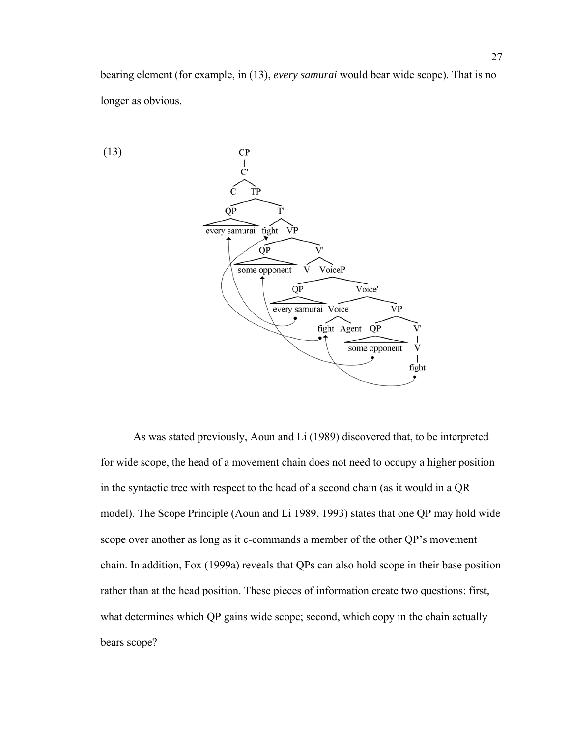bearing element (for example, in (13), *every samurai* would bear wide scope). That is no longer as obvious.



 As was stated previously, Aoun and Li (1989) discovered that, to be interpreted for wide scope, the head of a movement chain does not need to occupy a higher position in the syntactic tree with respect to the head of a second chain (as it would in a QR model). The Scope Principle (Aoun and Li 1989, 1993) states that one QP may hold wide scope over another as long as it c-commands a member of the other QP's movement chain. In addition, Fox (1999a) reveals that QPs can also hold scope in their base position rather than at the head position. These pieces of information create two questions: first, what determines which QP gains wide scope; second, which copy in the chain actually bears scope?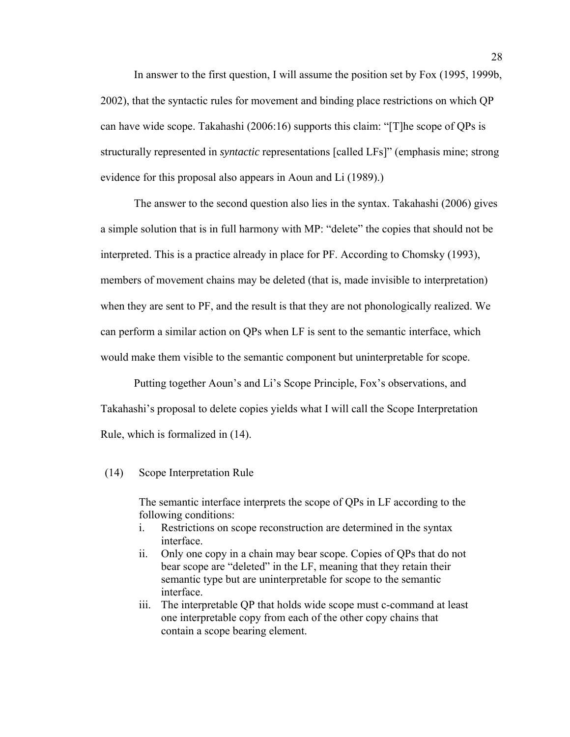In answer to the first question, I will assume the position set by Fox (1995, 1999b, 2002), that the syntactic rules for movement and binding place restrictions on which QP can have wide scope. Takahashi (2006:16) supports this claim: "[T]he scope of QPs is structurally represented in *syntactic* representations [called LFs]" (emphasis mine; strong evidence for this proposal also appears in Aoun and Li (1989).)

The answer to the second question also lies in the syntax. Takahashi (2006) gives a simple solution that is in full harmony with MP: "delete" the copies that should not be interpreted. This is a practice already in place for PF. According to Chomsky (1993), members of movement chains may be deleted (that is, made invisible to interpretation) when they are sent to PF, and the result is that they are not phonologically realized. We can perform a similar action on QPs when LF is sent to the semantic interface, which would make them visible to the semantic component but uninterpretable for scope.

Putting together Aoun's and Li's Scope Principle, Fox's observations, and Takahashi's proposal to delete copies yields what I will call the Scope Interpretation Rule, which is formalized in (14).

# (14) Scope Interpretation Rule

The semantic interface interprets the scope of QPs in LF according to the following conditions:

- i. Restrictions on scope reconstruction are determined in the syntax interface.
- ii. Only one copy in a chain may bear scope. Copies of QPs that do not bear scope are "deleted" in the LF, meaning that they retain their semantic type but are uninterpretable for scope to the semantic interface.
- iii. The interpretable QP that holds wide scope must c-command at least one interpretable copy from each of the other copy chains that contain a scope bearing element.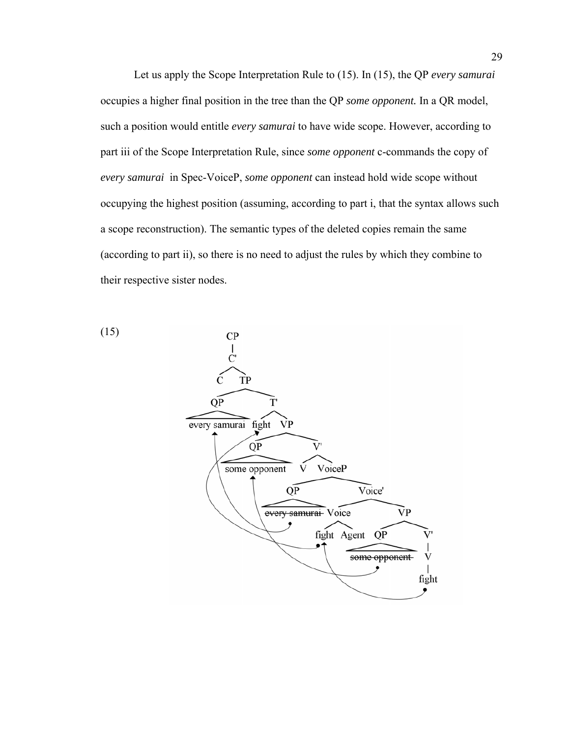Let us apply the Scope Interpretation Rule to (15). In (15), the QP *every samurai*  occupies a higher final position in the tree than the QP *some opponent.* In a QR model, such a position would entitle *every samurai* to have wide scope. However, according to part iii of the Scope Interpretation Rule, since *some opponent* c-commands the copy of *every samurai* in Spec-VoiceP, *some opponent* can instead hold wide scope without occupying the highest position (assuming, according to part i, that the syntax allows such a scope reconstruction). The semantic types of the deleted copies remain the same (according to part ii), so there is no need to adjust the rules by which they combine to their respective sister nodes.

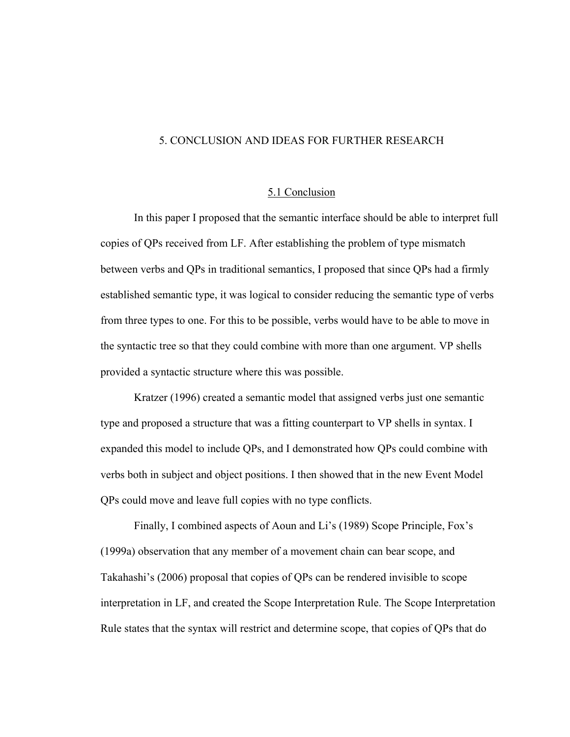# <span id="page-38-0"></span>5. CONCLUSION AND IDEAS FOR FURTHER RESEARCH

#### 5.1 Conclusion

In this paper I proposed that the semantic interface should be able to interpret full copies of QPs received from LF. After establishing the problem of type mismatch between verbs and QPs in traditional semantics, I proposed that since QPs had a firmly established semantic type, it was logical to consider reducing the semantic type of verbs from three types to one. For this to be possible, verbs would have to be able to move in the syntactic tree so that they could combine with more than one argument. VP shells provided a syntactic structure where this was possible.

Kratzer (1996) created a semantic model that assigned verbs just one semantic type and proposed a structure that was a fitting counterpart to VP shells in syntax. I expanded this model to include QPs, and I demonstrated how QPs could combine with verbs both in subject and object positions. I then showed that in the new Event Model QPs could move and leave full copies with no type conflicts.

Finally, I combined aspects of Aoun and Li's (1989) Scope Principle, Fox's (1999a) observation that any member of a movement chain can bear scope, and Takahashi's (2006) proposal that copies of QPs can be rendered invisible to scope interpretation in LF, and created the Scope Interpretation Rule. The Scope Interpretation Rule states that the syntax will restrict and determine scope, that copies of QPs that do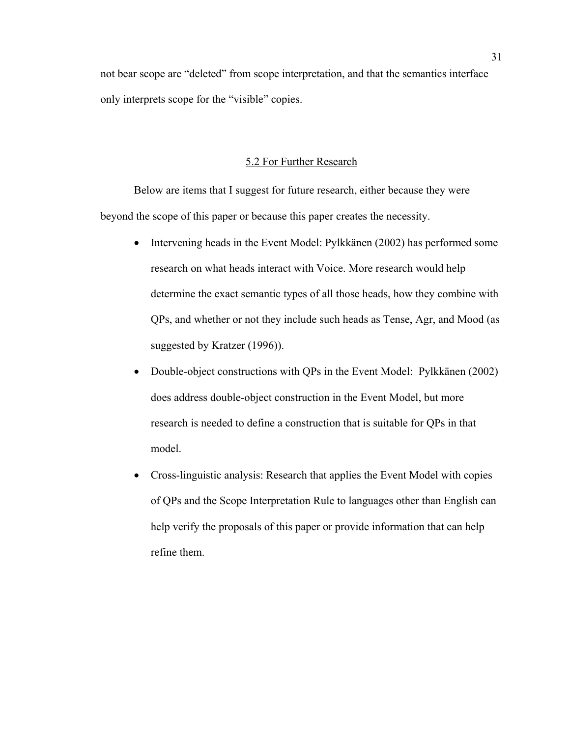<span id="page-39-0"></span>not bear scope are "deleted" from scope interpretation, and that the semantics interface only interprets scope for the "visible" copies.

# 5.2 For Further Research

Below are items that I suggest for future research, either because they were beyond the scope of this paper or because this paper creates the necessity.

- Intervening heads in the Event Model: Pylkkänen (2002) has performed some research on what heads interact with Voice. More research would help determine the exact semantic types of all those heads, how they combine with QPs, and whether or not they include such heads as Tense, Agr, and Mood (as suggested by Kratzer (1996)).
- Double-object constructions with QPs in the Event Model: Pylkkänen (2002) does address double-object construction in the Event Model, but more research is needed to define a construction that is suitable for QPs in that model.
- Cross-linguistic analysis: Research that applies the Event Model with copies of QPs and the Scope Interpretation Rule to languages other than English can help verify the proposals of this paper or provide information that can help refine them.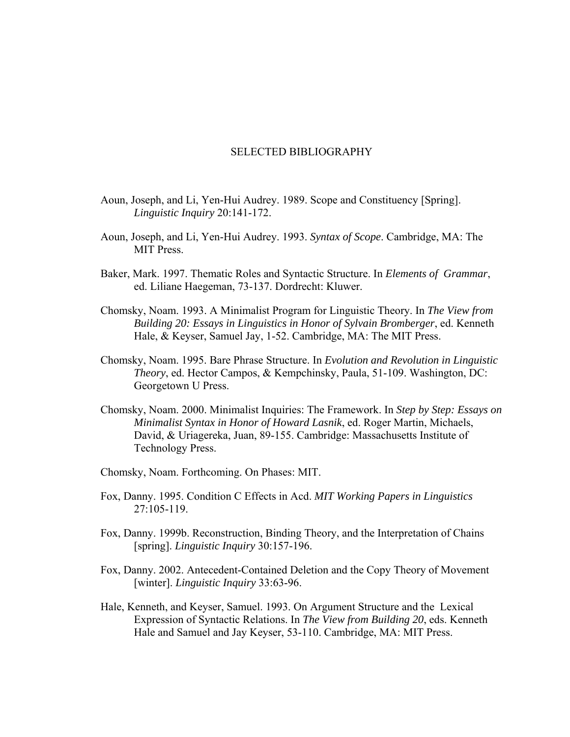#### SELECTED BIBLIOGRAPHY

- Aoun, Joseph, and Li, Yen-Hui Audrey. 1989. Scope and Constituency [Spring]. *Linguistic Inquiry* 20:141-172.
- Aoun, Joseph, and Li, Yen-Hui Audrey. 1993. *Syntax of Scope*. Cambridge, MA: The MIT Press.
- Baker, Mark. 1997. Thematic Roles and Syntactic Structure. In *Elements of Grammar*, ed. Liliane Haegeman, 73-137. Dordrecht: Kluwer.
- Chomsky, Noam. 1993. A Minimalist Program for Linguistic Theory. In *The View from Building 20: Essays in Linguistics in Honor of Sylvain Bromberger*, ed. Kenneth Hale, & Keyser, Samuel Jay, 1-52. Cambridge, MA: The MIT Press.
- Chomsky, Noam. 1995. Bare Phrase Structure. In *Evolution and Revolution in Linguistic Theory*, ed. Hector Campos, & Kempchinsky, Paula, 51-109. Washington, DC: Georgetown U Press.
- Chomsky, Noam. 2000. Minimalist Inquiries: The Framework. In *Step by Step: Essays on Minimalist Syntax in Honor of Howard Lasnik*, ed. Roger Martin, Michaels, David, & Uriagereka, Juan, 89-155. Cambridge: Massachusetts Institute of Technology Press.
- Chomsky, Noam. Forthcoming. On Phases: MIT.
- Fox, Danny. 1995. Condition C Effects in Acd. *MIT Working Papers in Linguistics* 27:105-119.
- Fox, Danny. 1999b. Reconstruction, Binding Theory, and the Interpretation of Chains [spring]. *Linguistic Inquiry* 30:157-196.
- Fox, Danny. 2002. Antecedent-Contained Deletion and the Copy Theory of Movement [winter]. *Linguistic Inquiry* 33:63-96.
- Hale, Kenneth, and Keyser, Samuel. 1993. On Argument Structure and the Lexical Expression of Syntactic Relations. In *The View from Building 20*, eds. Kenneth Hale and Samuel and Jay Keyser, 53-110. Cambridge, MA: MIT Press.